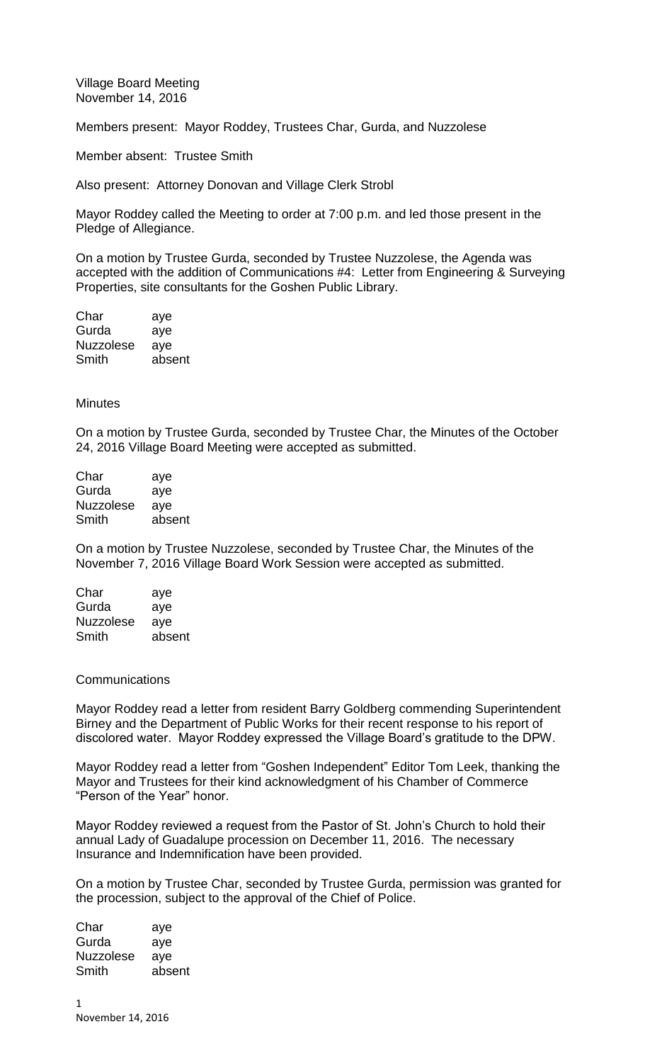Village Board Meeting November 14, 2016

Members present: Mayor Roddey, Trustees Char, Gurda, and Nuzzolese

Member absent: Trustee Smith

Also present: Attorney Donovan and Village Clerk Strobl

Mayor Roddey called the Meeting to order at 7:00 p.m. and led those present in the Pledge of Allegiance.

On a motion by Trustee Gurda, seconded by Trustee Nuzzolese, the Agenda was accepted with the addition of Communications #4: Letter from Engineering & Surveying Properties, site consultants for the Goshen Public Library.

Char aye Gurda aye Nuzzolese aye Smith absent

## **Minutes**

On a motion by Trustee Gurda, seconded by Trustee Char, the Minutes of the October 24, 2016 Village Board Meeting were accepted as submitted.

| Char             | aye    |
|------------------|--------|
| Gurda            | aye    |
| <b>Nuzzolese</b> | ave    |
| Smith            | absent |

On a motion by Trustee Nuzzolese, seconded by Trustee Char, the Minutes of the November 7, 2016 Village Board Work Session were accepted as submitted.

| aye    |
|--------|
| aye    |
| aye    |
| absent |
|        |

## Communications

Mayor Roddey read a letter from resident Barry Goldberg commending Superintendent Birney and the Department of Public Works for their recent response to his report of discolored water. Mayor Roddey expressed the Village Board's gratitude to the DPW.

Mayor Roddey read a letter from "Goshen Independent" Editor Tom Leek, thanking the Mayor and Trustees for their kind acknowledgment of his Chamber of Commerce "Person of the Year" honor.

Mayor Roddey reviewed a request from the Pastor of St. John's Church to hold their annual Lady of Guadalupe procession on December 11, 2016. The necessary Insurance and Indemnification have been provided.

On a motion by Trustee Char, seconded by Trustee Gurda, permission was granted for the procession, subject to the approval of the Chief of Police.

Char aye Gurda aye Nuzzolese aye Smith absent